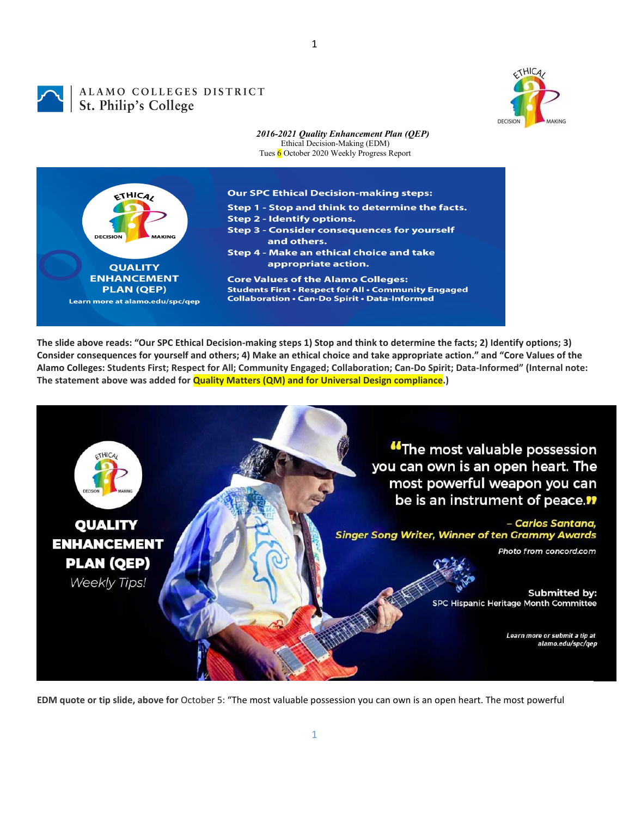

ALAMO COLLEGES DISTRICT **St. Philip's Colleges** 



*2016-2021 Quality Enhancement Plan (QEP)* Ethical Decision-Making (EDM) Tues 6 October 2020 Weekly Progress Report

1



**The slide above reads: "Our SPC Ethical Decision-making steps 1) Stop and think to determine the facts; 2) Identify options; 3) Consider consequences for yourself and others; 4) Make an ethical choice and take appropriate action." and "Core Values of the Alamo Colleges: Students First; Respect for All; Community Engaged; Collaboration; Can-Do Spirit; Data-Informed" (Internal note: The statement above was added for Quality Matters (QM) and for Universal Design compliance.)**



**EDM quote or tip slide, above for** October 5: "The most valuable possession you can own is an open heart. The most powerful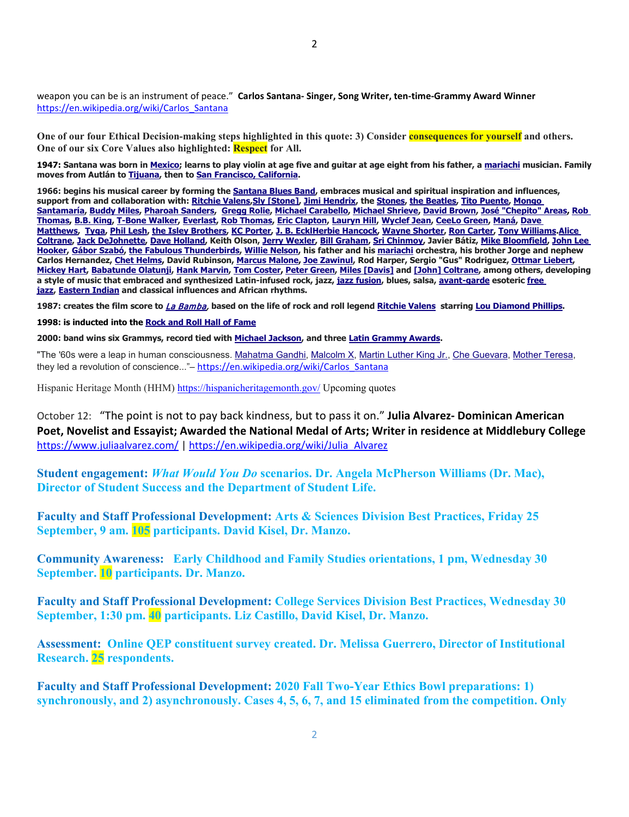weapon you can be is an instrument of peace." **Carlos Santana- Singer, Song Writer, ten-time-Grammy Award Winner**  [https://en.wikipedia.org/wiki/Carlos\\_Santana](https://en.wikipedia.org/wiki/Carlos_Santana)

**One of our four Ethical Decision-making steps highlighted in this quote: 3) Consider consequences for yourself and others. One of our six Core Values also highlighted: Respect for All.**

**1947: Santana was born in [Mexico;](https://en.wikipedia.org/wiki/Mexico) learns to play violin at age five and guitar at age eight from his father, a [mariachi](https://en.wikipedia.org/wiki/Mariachi) musician. Family moves from Autlán to [Tijuana,](https://en.wikipedia.org/wiki/Tijuana) then to [San Francisco, California.](https://en.wikipedia.org/wiki/San_Francisco)**

**1966: begins his musical career by forming the [Santana Blues Band,](https://en.wikipedia.org/wiki/Santana_(band)) embraces musical and spiritual inspiration and influences, support from and collaboration with[: Ritchie Valens,](https://en.wikipedia.org/wiki/Ritchie_Valens)[Sly \[Stone\],](https://en.wikipedia.org/wiki/Sly_Stone) [Jimi Hendrix,](https://en.wikipedia.org/wiki/Jimi_Hendrix) the [Stones,](https://en.wikipedia.org/wiki/The_Rolling_Stones) [the Beatles,](https://en.wikipedia.org/wiki/The_Beatles) [Tito Puente,](https://en.wikipedia.org/wiki/Tito_Puente) [Mongo](https://en.wikipedia.org/wiki/Mongo_Santamar%C3%ADa)  [Santamaría,](https://en.wikipedia.org/wiki/Mongo_Santamar%C3%ADa) [Buddy Miles,](https://en.wikipedia.org/wiki/Buddy_Miles) [Pharoah Sanders,](https://en.wikipedia.org/wiki/Pharoah_Sanders) [Gregg Rolie,](https://en.wikipedia.org/wiki/Gregg_Rolie) [Michael Carabello,](https://en.wikipedia.org/wiki/Michael_Carabello) [Michael Shrieve,](https://en.wikipedia.org/wiki/Michael_Shrieve) [David Brown,](https://en.wikipedia.org/wiki/David_Brown_(American_musician)) [José "Chepito" Areas,](https://en.wikipedia.org/wiki/Jos%C3%A9_Areas) [Rob](https://en.wikipedia.org/wiki/Rob_Thomas_(musician))  [Thomas,](https://en.wikipedia.org/wiki/Rob_Thomas_(musician)) [B.B. King,](https://en.wikipedia.org/wiki/B.B._King) [T-Bone Walker,](https://en.wikipedia.org/wiki/T-Bone_Walker) [Everlast,](https://en.wikipedia.org/wiki/Everlast_(musician)) [Rob Thomas,](https://en.wikipedia.org/wiki/Rob_Thomas_(musician)) [Eric Clapton,](https://en.wikipedia.org/wiki/Eric_Clapton) [Lauryn Hill,](https://en.wikipedia.org/wiki/Lauryn_Hill) [Wyclef Jean,](https://en.wikipedia.org/wiki/Wyclef_Jean) [CeeLo Green,](https://en.wikipedia.org/wiki/CeeLo_Green) [Maná,](https://en.wikipedia.org/wiki/Man%C3%A1) [Dave](https://en.wikipedia.org/wiki/Dave_Matthews)  [Matthews,](https://en.wikipedia.org/wiki/Dave_Matthews) [Tyga,](https://en.wikipedia.org/wiki/Tyga) [Phil Lesh,](https://en.wikipedia.org/wiki/Phil_Lesh) [the Isley Brothers,](https://en.wikipedia.org/wiki/The_Isley_Brothers) [KC Porter,](https://en.wikipedia.org/wiki/KC_Porter) [J. B. EcklHerbie Hancock,](https://en.wikipedia.org/wiki/J._B._Eckl) [Wayne Shorter,](https://en.wikipedia.org/wiki/Wayne_Shorter) [Ron Carter,](https://en.wikipedia.org/wiki/Ron_Carter) [Tony Williams.](https://en.wikipedia.org/wiki/Tony_Williams_(drummer))[Alice](https://en.wikipedia.org/wiki/Alice_Coltrane)  [Coltrane,](https://en.wikipedia.org/wiki/Alice_Coltrane) [Jack DeJohnette,](https://en.wikipedia.org/wiki/Jack_DeJohnette) [Dave Holland,](https://en.wikipedia.org/wiki/Dave_Holland) Keith Olson[, Jerry Wexler,](https://en.wikipedia.org/wiki/Jerry_Wexler) [Bill Graham,](https://en.wikipedia.org/wiki/Bill_Graham_(promoter)) [Sri Chinmoy,](https://en.wikipedia.org/wiki/Sri_Chinmoy) Javier Bátiz, [Mike Bloomfield,](https://en.wikipedia.org/wiki/Mike_Bloomfield) [John Lee](https://en.wikipedia.org/wiki/John_Lee_Hooker)  [Hooker,](https://en.wikipedia.org/wiki/John_Lee_Hooker) [Gábor Szabó,](https://en.wikipedia.org/wiki/G%C3%A1bor_Szab%C3%B3) [the Fabulous Thunderbirds,](https://en.wikipedia.org/wiki/The_Fabulous_Thunderbirds) [Willie Nelson,](https://en.wikipedia.org/wiki/Willie_Nelson) his father and his [mariachi](https://en.wikipedia.org/wiki/Mariachi) orchestra, his brother Jorge and nephew Carlos Hernandez[, Chet Helms,](https://en.wikipedia.org/wiki/Chet_Helms) David Rubinson, [Marcus Malone,](https://en.wikipedia.org/wiki/Marcus_Malone) [Joe Zawinul,](https://en.wikipedia.org/wiki/Joe_Zawinul) Rod Harper, Sergio "Gus" Rodriguez, [Ottmar Liebert,](https://en.wikipedia.org/wiki/Ottmar_Liebert) [Mickey Hart,](https://en.wikipedia.org/wiki/Mickey_Hart) [Babatunde Olatunji,](https://en.wikipedia.org/wiki/Babatunde_Olatunji) [Hank Marvin,](https://en.wikipedia.org/wiki/Hank_Marvin) [Tom Coster,](https://en.wikipedia.org/wiki/Tom_Coster) [Peter Green,](https://en.wikipedia.org/wiki/Peter_Green_(musician)) [Miles \[Davis\]](https://en.wikipedia.org/wiki/Miles_Davis) and [\[John\] Coltrane,](https://en.wikipedia.org/wiki/John_Coltrane) among others, developing a style of music that embraced and synthesized Latin-infused rock, jazz, [jazz fusion,](https://en.wikipedia.org/wiki/Jazz_fusion) blues, salsa, [avant-garde](https://en.wikipedia.org/wiki/Avant-garde) esoteric [free](https://en.wikipedia.org/wiki/Free_jazz)  [jazz,](https://en.wikipedia.org/wiki/Free_jazz) [Eastern Indian](https://en.wikipedia.org/wiki/East_India) and classical influences and African rhythms.**

**1987: creates the film score to** [La Bamba,](https://en.wikipedia.org/wiki/La_Bamba_(film)) **based on the life of rock and roll legend [Ritchie Valens](https://en.wikipedia.org/wiki/Ritchie_Valens) starring [Lou Diamond Phillips.](https://en.wikipedia.org/wiki/Lou_Diamond_Phillips)**

## **1998: is inducted into th[e Rock and Roll Hall of Fame](https://en.wikipedia.org/wiki/Rock_and_Roll_Hall_of_Fame)**

**2000: band wins six Grammys, record tied with [Michael Jackson,](https://en.wikipedia.org/wiki/Michael_Jackson) and three [Latin Grammy Awards.](https://en.wikipedia.org/wiki/Latin_Grammy_Awards)**

"The '60s were a leap in human consciousness. [Mahatma Gandhi,](https://en.wikipedia.org/wiki/Mahatma_Gandhi) [Malcolm X,](https://en.wikipedia.org/wiki/Malcolm_X) [Martin Luther King Jr.,](https://en.wikipedia.org/wiki/Martin_Luther_King_Jr.) [Che Guevara,](https://en.wikipedia.org/wiki/Che_Guevara) [Mother Teresa,](https://en.wikipedia.org/wiki/Mother_Teresa) they led a revolution of conscience..."- [https://en.wikipedia.org/wiki/Carlos\\_Santana](https://en.wikipedia.org/wiki/Carlos_Santana)

Hispanic Heritage Month (HHM) <https://hispanicheritagemonth.gov/> Upcoming quotes

October 12: "The point is not to pay back kindness, but to pass it on." **Julia Alvarez- Dominican American Poet, Novelist and Essayist; Awarded the National Medal of Arts; Writer in residence at Middlebury College** <https://www.juliaalvarez.com/> | [https://en.wikipedia.org/wiki/Julia\\_Alvarez](https://en.wikipedia.org/wiki/Julia_Alvarez)

**Student engagement:** *What Would You Do* **scenarios. Dr. Angela McPherson Williams (Dr. Mac), Director of Student Success and the Department of Student Life.**

**Faculty and Staff Professional Development: Arts & Sciences Division Best Practices, Friday 25 September, 9 am. 105 participants. David Kisel, Dr. Manzo.**

**Community Awareness: Early Childhood and Family Studies orientations, 1 pm, Wednesday 30 September. 10 participants. Dr. Manzo.**

**Faculty and Staff Professional Development: College Services Division Best Practices, Wednesday 30 September, 1:30 pm. 40 participants. Liz Castillo, David Kisel, Dr. Manzo.**

**Assessment: Online QEP constituent survey created. Dr. Melissa Guerrero, Director of Institutional Research. 25 respondents.**

**Faculty and Staff Professional Development: 2020 Fall Two-Year Ethics Bowl preparations: 1) synchronously, and 2) asynchronously. Cases 4, 5, 6, 7, and 15 eliminated from the competition. Only**